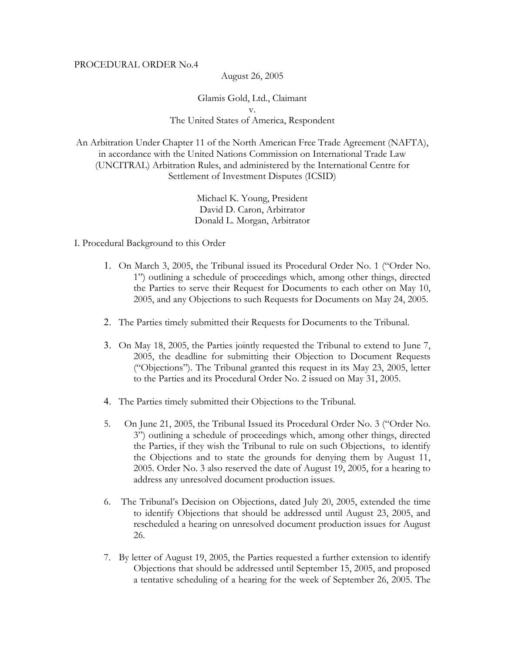## PROCEDURAL ORDER No.4

August 26, 2005

Glamis Gold, Ltd., Claimant v. The United States of America, Respondent

An Arbitration Under Chapter 11 of the North American Free Trade Agreement (NAFTA), in accordance with the United Nations Commission on International Trade Law (UNCITRAL) Arbitration Rules, and administered by the International Centre for Settlement of Investment Disputes (ICSID)

> Michael K. Young, President David D. Caron, Arbitrator Donald L. Morgan, Arbitrator

- I. Procedural Background to this Order
	- 1. On March 3, 2005, the Tribunal issued its Procedural Order No. 1 ("Order No. 1") outlining a schedule of proceedings which, among other things, directed the Parties to serve their Request for Documents to each other on May 10, 2005, and any Objections to such Requests for Documents on May 24, 2005.
	- 2. The Parties timely submitted their Requests for Documents to the Tribunal.
	- 3. On May 18, 2005, the Parties jointly requested the Tribunal to extend to June 7, 2005, the deadline for submitting their Objection to Document Requests ("Objections"). The Tribunal granted this request in its May 23, 2005, letter to the Parties and its Procedural Order No. 2 issued on May 31, 2005.
	- 4. The Parties timely submitted their Objections to the Tribunal.
	- 5. On June 21, 2005, the Tribunal Issued its Procedural Order No. 3 ("Order No. 3") outlining a schedule of proceedings which, among other things, directed the Parties, if they wish the Tribunal to rule on such Objections, to identify the Objections and to state the grounds for denying them by August 11, 2005. Order No. 3 also reserved the date of August 19, 2005, for a hearing to address any unresolved document production issues.
	- 6. The Tribunal's Decision on Objections, dated July 20, 2005, extended the time to identify Objections that should be addressed until August 23, 2005, and rescheduled a hearing on unresolved document production issues for August 26.
	- 7. By letter of August 19, 2005, the Parties requested a further extension to identify Objections that should be addressed until September 15, 2005, and proposed a tentative scheduling of a hearing for the week of September 26, 2005. The